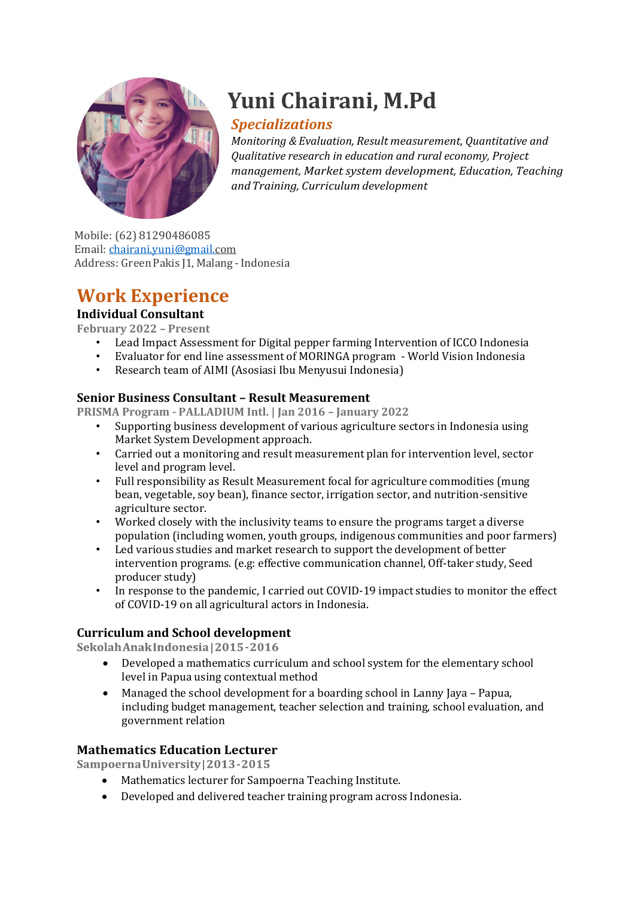

# **Yuni Chairani, M.Pd**

# *Specializations*

*Monitoring & Evaluation, Result measurement, Quantitative and Qualitative research in education and rural economy, Project management, Market system development, Education, Teaching andTraining, Curriculum development*

Mobile: (62) 81290486085 Email: [chairani.yuni@gmail.com](mailto:chairani.yuni@gmail.com) Address: Green Pakis J1, Malang - Indonesia

# **Work Experience**

# **Individual Consultant**

**February 2022 – Present**

- Lead Impact Assessment for Digital pepper farming Intervention of ICCO Indonesia
- Evaluator for end line assessment of MORINGA program World Vision Indonesia
- Research team of AIMI (Asosiasi Ibu Menyusui Indonesia)

### **Senior Business Consultant – Result Measurement**

**PRISMA Program - PALLADIUM Intl. | Jan 2016 – January 2022**

- Supporting business development of various agriculture sectors in Indonesia using Market System Development approach.
- Carried out a monitoring and result measurement plan for intervention level, sector level and program level.
- Full responsibility as Result Measurement focal for agriculture commodities (mung bean, vegetable, soy bean), finance sector, irrigation sector, and nutrition-sensitive agriculture sector.
- Worked closely with the inclusivity teams to ensure the programs target a diverse population (including women, youth groups, indigenous communities and poor farmers)
- Led various studies and market research to support the development of better intervention programs. (e.g: effective communication channel, Off-taker study, Seed producer study)
- In response to the pandemic, I carried out COVID-19 impact studies to monitor the effect of COVID-19 on all agricultural actors in Indonesia.

#### **Curriculum and School development**

Sekolah Anak Indonesia | 2015 - 2016

- Developed a mathematics curriculum and school system for the elementary school level in Papua using contextual method
- Managed the school development for a boarding school in Lanny Jaya Papua, including budget management, teacher selection and training, school evaluation, and government relation

## **Mathematics Education Lecturer**

Sampoerna University | 2013-2015

- Mathematics lecturer for Sampoerna Teaching Institute.
- Developed and delivered teacher training program across Indonesia.